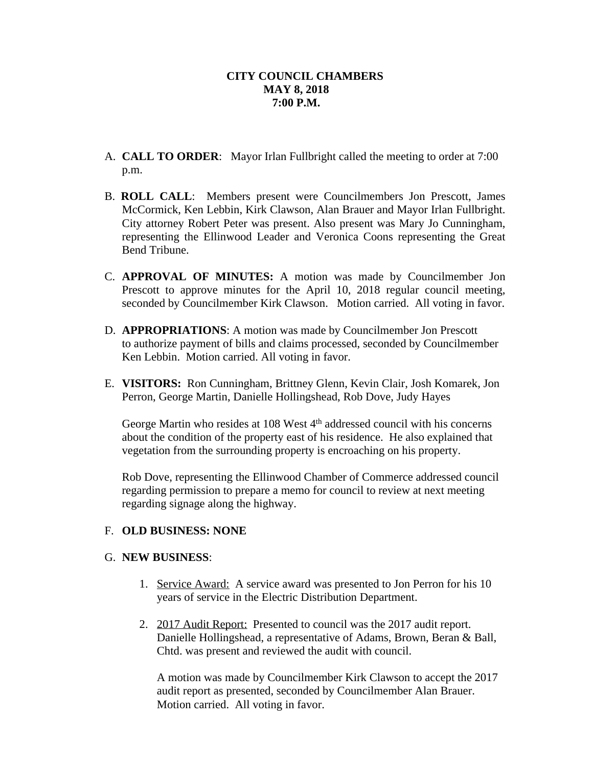- A. **CALL TO ORDER**: Mayor Irlan Fullbright called the meeting to order at 7:00 p.m.
- B. **ROLL CALL**: Members present were Councilmembers Jon Prescott, James McCormick, Ken Lebbin, Kirk Clawson, Alan Brauer and Mayor Irlan Fullbright. City attorney Robert Peter was present. Also present was Mary Jo Cunningham, representing the Ellinwood Leader and Veronica Coons representing the Great Bend Tribune.
- C. **APPROVAL OF MINUTES:** A motion was made by Councilmember Jon Prescott to approve minutes for the April 10, 2018 regular council meeting, seconded by Councilmember Kirk Clawson. Motion carried. All voting in favor.
- D. **APPROPRIATIONS**: A motion was made by Councilmember Jon Prescott to authorize payment of bills and claims processed, seconded by Councilmember Ken Lebbin. Motion carried. All voting in favor.
- E. **VISITORS:** Ron Cunningham, Brittney Glenn, Kevin Clair, Josh Komarek, Jon Perron, George Martin, Danielle Hollingshead, Rob Dove, Judy Hayes

George Martin who resides at 108 West 4<sup>th</sup> addressed council with his concerns about the condition of the property east of his residence. He also explained that vegetation from the surrounding property is encroaching on his property.

Rob Dove, representing the Ellinwood Chamber of Commerce addressed council regarding permission to prepare a memo for council to review at next meeting regarding signage along the highway.

# F. **OLD BUSINESS: NONE**

# G. **NEW BUSINESS**:

- 1. Service Award: A service award was presented to Jon Perron for his 10 years of service in the Electric Distribution Department.
- 2. 2017 Audit Report: Presented to council was the 2017 audit report. Danielle Hollingshead, a representative of Adams, Brown, Beran & Ball, Chtd. was present and reviewed the audit with council.

A motion was made by Councilmember Kirk Clawson to accept the 2017 audit report as presented, seconded by Councilmember Alan Brauer. Motion carried. All voting in favor.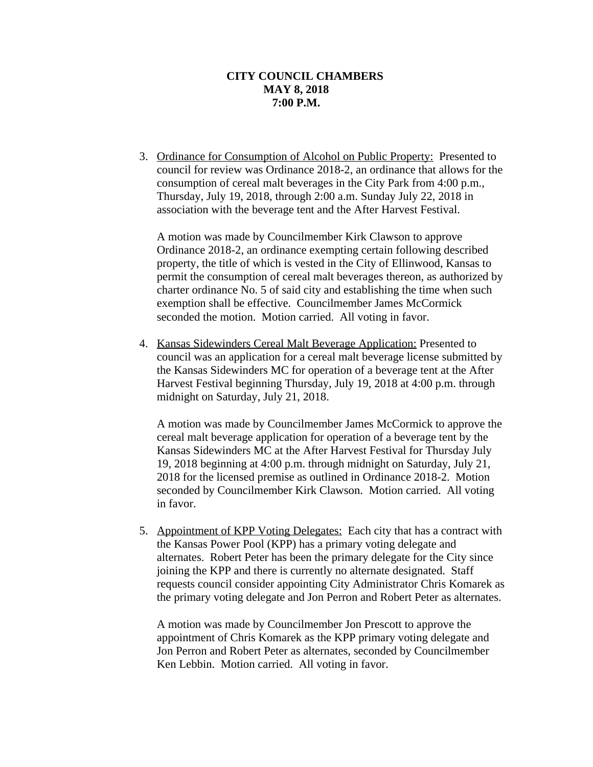3. Ordinance for Consumption of Alcohol on Public Property: Presented to council for review was Ordinance 2018-2, an ordinance that allows for the consumption of cereal malt beverages in the City Park from 4:00 p.m., Thursday, July 19, 2018, through 2:00 a.m. Sunday July 22, 2018 in association with the beverage tent and the After Harvest Festival.

A motion was made by Councilmember Kirk Clawson to approve Ordinance 2018-2, an ordinance exempting certain following described property, the title of which is vested in the City of Ellinwood, Kansas to permit the consumption of cereal malt beverages thereon, as authorized by charter ordinance No. 5 of said city and establishing the time when such exemption shall be effective. Councilmember James McCormick seconded the motion. Motion carried. All voting in favor.

4. Kansas Sidewinders Cereal Malt Beverage Application: Presented to council was an application for a cereal malt beverage license submitted by the Kansas Sidewinders MC for operation of a beverage tent at the After Harvest Festival beginning Thursday, July 19, 2018 at 4:00 p.m. through midnight on Saturday, July 21, 2018.

A motion was made by Councilmember James McCormick to approve the cereal malt beverage application for operation of a beverage tent by the Kansas Sidewinders MC at the After Harvest Festival for Thursday July 19, 2018 beginning at 4:00 p.m. through midnight on Saturday, July 21, 2018 for the licensed premise as outlined in Ordinance 2018-2. Motion seconded by Councilmember Kirk Clawson. Motion carried. All voting in favor.

5. Appointment of KPP Voting Delegates: Each city that has a contract with the Kansas Power Pool (KPP) has a primary voting delegate and alternates. Robert Peter has been the primary delegate for the City since joining the KPP and there is currently no alternate designated. Staff requests council consider appointing City Administrator Chris Komarek as the primary voting delegate and Jon Perron and Robert Peter as alternates.

A motion was made by Councilmember Jon Prescott to approve the appointment of Chris Komarek as the KPP primary voting delegate and Jon Perron and Robert Peter as alternates, seconded by Councilmember Ken Lebbin. Motion carried. All voting in favor.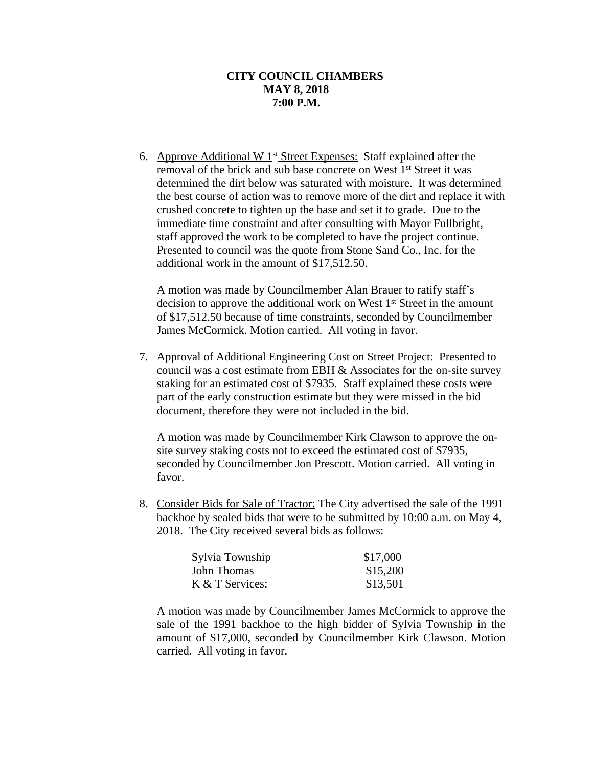6. Approve Additional W  $1<sup>st</sup>$  Street Expenses: Staff explained after the removal of the brick and sub base concrete on West 1st Street it was determined the dirt below was saturated with moisture. It was determined the best course of action was to remove more of the dirt and replace it with crushed concrete to tighten up the base and set it to grade. Due to the immediate time constraint and after consulting with Mayor Fullbright, staff approved the work to be completed to have the project continue. Presented to council was the quote from Stone Sand Co., Inc. for the additional work in the amount of \$17,512.50.

A motion was made by Councilmember Alan Brauer to ratify staff's decision to approve the additional work on West 1st Street in the amount of \$17,512.50 because of time constraints, seconded by Councilmember James McCormick. Motion carried. All voting in favor.

7. Approval of Additional Engineering Cost on Street Project: Presented to council was a cost estimate from EBH & Associates for the on-site survey staking for an estimated cost of \$7935. Staff explained these costs were part of the early construction estimate but they were missed in the bid document, therefore they were not included in the bid.

A motion was made by Councilmember Kirk Clawson to approve the onsite survey staking costs not to exceed the estimated cost of \$7935, seconded by Councilmember Jon Prescott. Motion carried. All voting in favor.

8. Consider Bids for Sale of Tractor: The City advertised the sale of the 1991 backhoe by sealed bids that were to be submitted by 10:00 a.m. on May 4, 2018. The City received several bids as follows:

| Sylvia Township | \$17,000 |
|-----------------|----------|
| John Thomas     | \$15,200 |
| K & T Services: | \$13,501 |

A motion was made by Councilmember James McCormick to approve the sale of the 1991 backhoe to the high bidder of Sylvia Township in the amount of \$17,000, seconded by Councilmember Kirk Clawson. Motion carried. All voting in favor.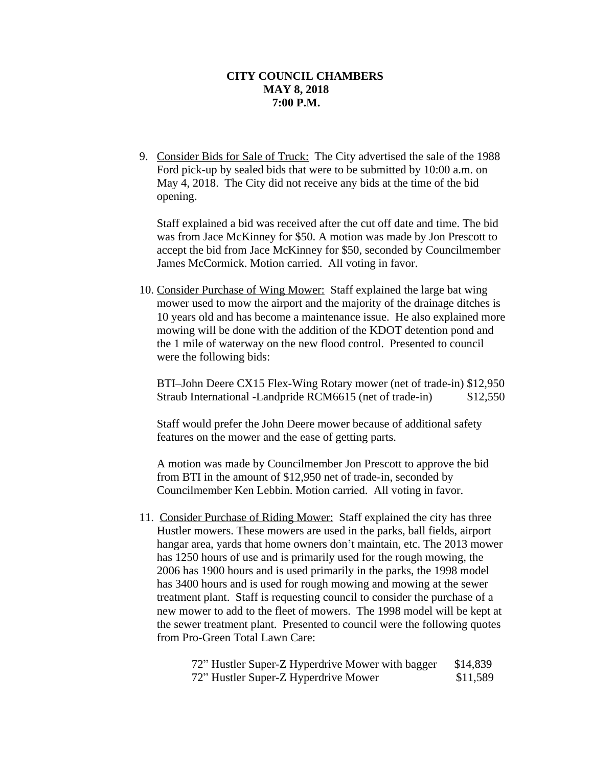9. Consider Bids for Sale of Truck: The City advertised the sale of the 1988 Ford pick-up by sealed bids that were to be submitted by 10:00 a.m. on May 4, 2018. The City did not receive any bids at the time of the bid opening.

Staff explained a bid was received after the cut off date and time. The bid was from Jace McKinney for \$50. A motion was made by Jon Prescott to accept the bid from Jace McKinney for \$50, seconded by Councilmember James McCormick. Motion carried. All voting in favor.

10. Consider Purchase of Wing Mower: Staff explained the large bat wing mower used to mow the airport and the majority of the drainage ditches is 10 years old and has become a maintenance issue. He also explained more mowing will be done with the addition of the KDOT detention pond and the 1 mile of waterway on the new flood control. Presented to council were the following bids:

BTI–John Deere CX15 Flex-Wing Rotary mower (net of trade-in) \$12,950 Straub International -Landpride RCM6615 (net of trade-in) \$12,550

Staff would prefer the John Deere mower because of additional safety features on the mower and the ease of getting parts.

A motion was made by Councilmember Jon Prescott to approve the bid from BTI in the amount of \$12,950 net of trade-in, seconded by Councilmember Ken Lebbin. Motion carried. All voting in favor.

11. Consider Purchase of Riding Mower: Staff explained the city has three Hustler mowers. These mowers are used in the parks, ball fields, airport hangar area, yards that home owners don't maintain, etc. The 2013 mower has 1250 hours of use and is primarily used for the rough mowing, the 2006 has 1900 hours and is used primarily in the parks, the 1998 model has 3400 hours and is used for rough mowing and mowing at the sewer treatment plant. Staff is requesting council to consider the purchase of a new mower to add to the fleet of mowers. The 1998 model will be kept at the sewer treatment plant. Presented to council were the following quotes from Pro-Green Total Lawn Care:

| 72" Hustler Super-Z Hyperdrive Mower with bagger | \$14,839 |
|--------------------------------------------------|----------|
| 72" Hustler Super-Z Hyperdrive Mower             | \$11,589 |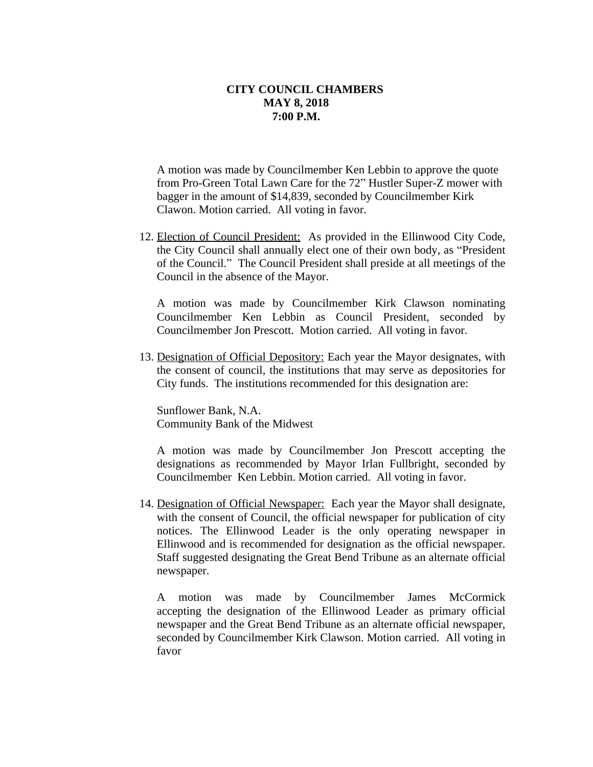A motion was made by Councilmember Ken Lebbin to approve the quote from Pro-Green Total Lawn Care for the 72" Hustler Super-Z mower with bagger in the amount of \$14,839, seconded by Councilmember Kirk Clawon. Motion carried. All voting in favor.

12. Election of Council President: As provided in the Ellinwood City Code, the City Council shall annually elect one of their own body, as "President of the Council." The Council President shall preside at all meetings of the Council in the absence of the Mayor.

A motion was made by Councilmember Kirk Clawson nominating Councilmember Ken Lebbin as Council President, seconded by Councilmember Jon Prescott. Motion carried. All voting in favor.

13. Designation of Official Depository: Each year the Mayor designates, with the consent of council, the institutions that may serve as depositories for City funds. The institutions recommended for this designation are:

Sunflower Bank, N.A. Community Bank of the Midwest

A motion was made by Councilmember Jon Prescott accepting the designations as recommended by Mayor Irlan Fullbright, seconded by Councilmember Ken Lebbin. Motion carried. All voting in favor.

14. Designation of Official Newspaper: Each year the Mayor shall designate, with the consent of Council, the official newspaper for publication of city notices. The Ellinwood Leader is the only operating newspaper in Ellinwood and is recommended for designation as the official newspaper. Staff suggested designating the Great Bend Tribune as an alternate official newspaper.

A motion was made by Councilmember James McCormick accepting the designation of the Ellinwood Leader as primary official newspaper and the Great Bend Tribune as an alternate official newspaper, seconded by Councilmember Kirk Clawson. Motion carried. All voting in favor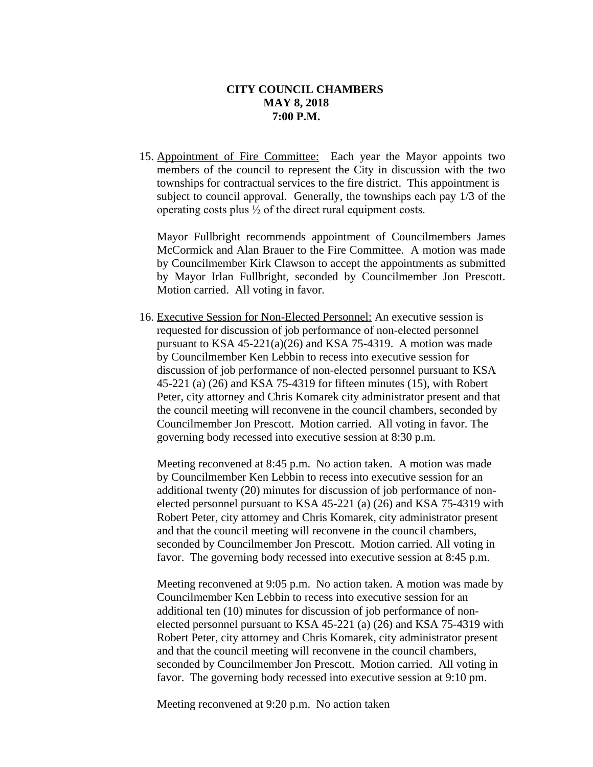15. Appointment of Fire Committee: Each year the Mayor appoints two members of the council to represent the City in discussion with the two townships for contractual services to the fire district. This appointment is subject to council approval. Generally, the townships each pay 1/3 of the operating costs plus ½ of the direct rural equipment costs.

Mayor Fullbright recommends appointment of Councilmembers James McCormick and Alan Brauer to the Fire Committee. A motion was made by Councilmember Kirk Clawson to accept the appointments as submitted by Mayor Irlan Fullbright, seconded by Councilmember Jon Prescott. Motion carried. All voting in favor.

16. Executive Session for Non-Elected Personnel: An executive session is requested for discussion of job performance of non-elected personnel pursuant to KSA 45-221(a)(26) and KSA 75-4319. A motion was made by Councilmember Ken Lebbin to recess into executive session for discussion of job performance of non-elected personnel pursuant to KSA 45-221 (a) (26) and KSA 75-4319 for fifteen minutes (15), with Robert Peter, city attorney and Chris Komarek city administrator present and that the council meeting will reconvene in the council chambers, seconded by Councilmember Jon Prescott. Motion carried. All voting in favor. The governing body recessed into executive session at 8:30 p.m.

Meeting reconvened at 8:45 p.m. No action taken. A motion was made by Councilmember Ken Lebbin to recess into executive session for an additional twenty (20) minutes for discussion of job performance of nonelected personnel pursuant to KSA 45-221 (a) (26) and KSA 75-4319 with Robert Peter, city attorney and Chris Komarek, city administrator present and that the council meeting will reconvene in the council chambers, seconded by Councilmember Jon Prescott. Motion carried. All voting in favor. The governing body recessed into executive session at 8:45 p.m.

Meeting reconvened at 9:05 p.m. No action taken. A motion was made by Councilmember Ken Lebbin to recess into executive session for an additional ten (10) minutes for discussion of job performance of nonelected personnel pursuant to KSA 45-221 (a) (26) and KSA 75-4319 with Robert Peter, city attorney and Chris Komarek, city administrator present and that the council meeting will reconvene in the council chambers, seconded by Councilmember Jon Prescott. Motion carried. All voting in favor. The governing body recessed into executive session at 9:10 pm.

Meeting reconvened at 9:20 p.m. No action taken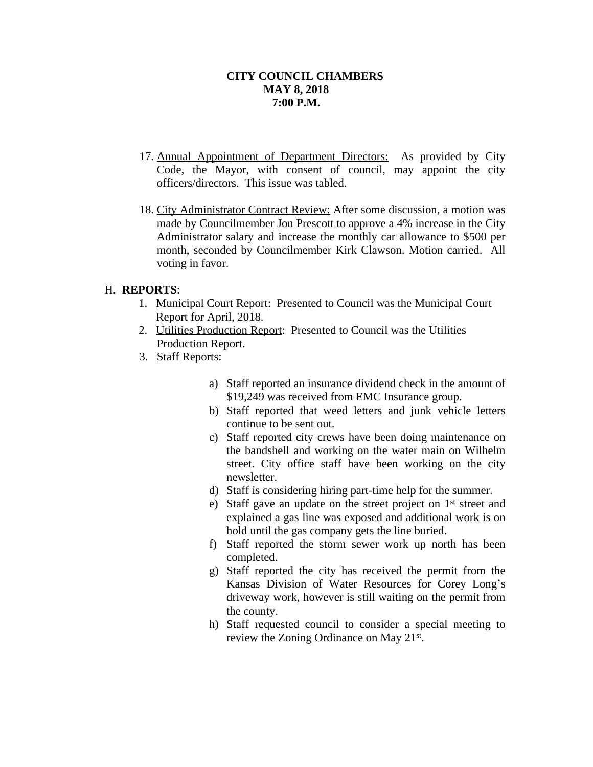- 17. Annual Appointment of Department Directors: As provided by City Code, the Mayor, with consent of council, may appoint the city officers/directors. This issue was tabled.
- 18. City Administrator Contract Review: After some discussion, a motion was made by Councilmember Jon Prescott to approve a 4% increase in the City Administrator salary and increase the monthly car allowance to \$500 per month, seconded by Councilmember Kirk Clawson. Motion carried. All voting in favor.

# H. **REPORTS**:

- 1. Municipal Court Report: Presented to Council was the Municipal Court Report for April, 2018.
- 2. Utilities Production Report: Presented to Council was the Utilities Production Report.
- 3. Staff Reports:
	- a) Staff reported an insurance dividend check in the amount of \$19,249 was received from EMC Insurance group.
	- b) Staff reported that weed letters and junk vehicle letters continue to be sent out.
	- c) Staff reported city crews have been doing maintenance on the bandshell and working on the water main on Wilhelm street. City office staff have been working on the city newsletter.
	- d) Staff is considering hiring part-time help for the summer.
	- e) Staff gave an update on the street project on 1<sup>st</sup> street and explained a gas line was exposed and additional work is on hold until the gas company gets the line buried.
	- f) Staff reported the storm sewer work up north has been completed.
	- g) Staff reported the city has received the permit from the Kansas Division of Water Resources for Corey Long's driveway work, however is still waiting on the permit from the county.
	- h) Staff requested council to consider a special meeting to review the Zoning Ordinance on May 21<sup>st</sup>.